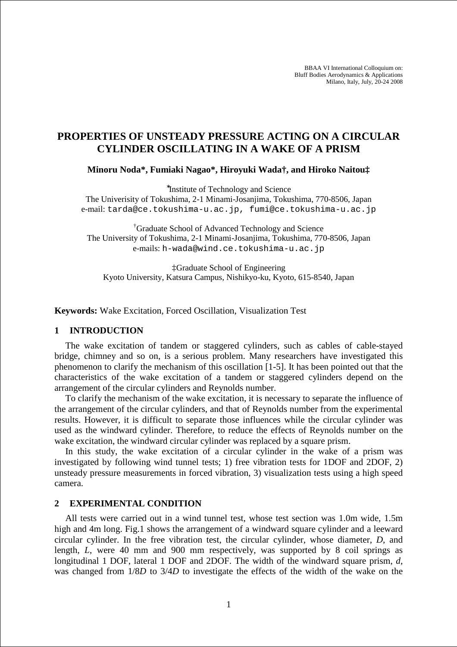BBAA VI International Colloquium on: Bluff Bodies Aerodynamics & Applications Milano, Italy, July, 20-24 2008

# **PROPERTIES OF UNSTEADY PRESSURE ACTING ON A CIRCULAR CYLINDER OSCILLATING IN A WAKE OF A PRISM**

**Minoru Noda\*, Fumiaki Nagao\*, Hiroyuki Wada†, and Hiroko Naitou‡** 

∗ Institute of Technology and Science

The Univerisity of Tokushima, 2-1 Minami-Josanjima, Tokushima, 770-8506, Japan e-mail: tarda@ce.tokushima-u.ac.jp, fumi@ce.tokushima-u.ac.jp

†Graduate School of Advanced Technology and Science The University of Tokushima, 2-1 Minami-Josanjima, Tokushima, 770-8506, Japan e-mails: h-wada@wind.ce.tokushima-u.ac.jp

‡Graduate School of Engineering Kyoto University, Katsura Campus, Nishikyo-ku, Kyoto, 615-8540, Japan

**Keywords:** Wake Excitation, Forced Oscillation, Visualization Test

### **1 INTRODUCTION**

The wake excitation of tandem or staggered cylinders, such as cables of cable-stayed bridge, chimney and so on, is a serious problem. Many researchers have investigated this phenomenon to clarify the mechanism of this oscillation [1-5]. It has been pointed out that the characteristics of the wake excitation of a tandem or staggered cylinders depend on the arrangement of the circular cylinders and Reynolds number.

To clarify the mechanism of the wake excitation, it is necessary to separate the influence of the arrangement of the circular cylinders, and that of Reynolds number from the experimental results. However, it is difficult to separate those influences while the circular cylinder was used as the windward cylinder. Therefore, to reduce the effects of Reynolds number on the wake excitation, the windward circular cylinder was replaced by a square prism.

In this study, the wake excitation of a circular cylinder in the wake of a prism was investigated by following wind tunnel tests; 1) free vibration tests for 1DOF and 2DOF, 2) unsteady pressure measurements in forced vibration, 3) visualization tests using a high speed camera.

## **2 EXPERIMENTAL CONDITION**

All tests were carried out in a wind tunnel test, whose test section was 1.0m wide, 1.5m high and 4m long. Fig.1 shows the arrangement of a windward square cylinder and a leeward circular cylinder. In the free vibration test, the circular cylinder, whose diameter, *D*, and length, *L*, were 40 mm and 900 mm respectively, was supported by 8 coil springs as longitudinal 1 DOF, lateral 1 DOF and 2DOF. The width of the windward square prism, *d*, was changed from 1/8*D* to 3/4*D* to investigate the effects of the width of the wake on the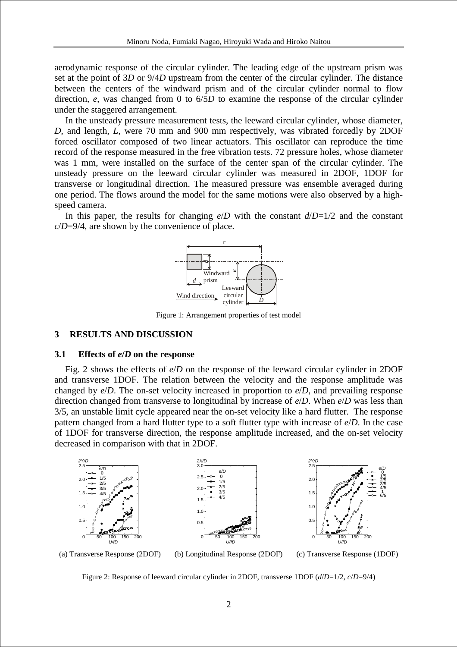aerodynamic response of the circular cylinder. The leading edge of the upstream prism was set at the point of 3*D* or 9/4*D* upstream from the center of the circular cylinder. The distance between the centers of the windward prism and of the circular cylinder normal to flow direction, *e*, was changed from 0 to 6/5*D* to examine the response of the circular cylinder under the staggered arrangement.

In the unsteady pressure measurement tests, the leeward circular cylinder, whose diameter, *D*, and length, *L*, were 70 mm and 900 mm respectively, was vibrated forcedly by 2DOF forced oscillator composed of two linear actuators. This oscillator can reproduce the time record of the response measured in the free vibration tests. 72 pressure holes, whose diameter was 1 mm, were installed on the surface of the center span of the circular cylinder. The unsteady pressure on the leeward circular cylinder was measured in 2DOF, 1DOF for transverse or longitudinal direction. The measured pressure was ensemble averaged during one period. The flows around the model for the same motions were also observed by a highspeed camera.

In this paper, the results for changing  $e/D$  with the constant  $d/D=1/2$  and the constant *c*/*D*=9/4, are shown by the convenience of place.



Figure 1: Arrangement properties of test model

# **3 RESULTS AND DISCUSSION**

#### **3.1 Effects of** *e***/***D* **on the response**

Fig. 2 shows the effects of *e*/*D* on the response of the leeward circular cylinder in 2DOF and transverse 1DOF. The relation between the velocity and the response amplitude was changed by *e*/*D*. The on-set velocity increased in proportion to *e*/*D*, and prevailing response direction changed from transverse to longitudinal by increase of *e*/*D*. When *e*/*D* was less than 3/5, an unstable limit cycle appeared near the on-set velocity like a hard flutter. The response pattern changed from a hard flutter type to a soft flutter type with increase of *e*/*D*. In the case of 1DOF for transverse direction, the response amplitude increased, and the on-set velocity decreased in comparison with that in 2DOF.



(a) Transverse Response (2DOF) (b) Longitudinal Response (2DOF) (c) Transverse Response (1DOF)

Figure 2: Response of leeward circular cylinder in 2DOF, transverse 1DOF (*d*/*D*=1/2, *c*/*D*=9/4)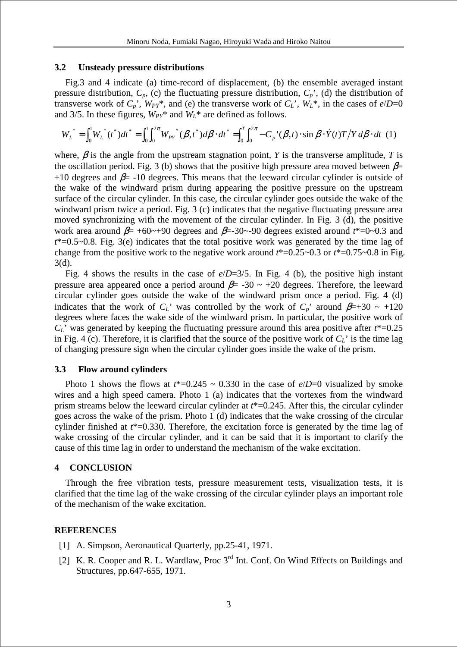## **3.2 Unsteady pressure distributions**

Fig.3 and 4 indicate (a) time-record of displacement, (b) the ensemble averaged instant pressure distribution,  $C_p$ , (c) the fluctuating pressure distribution,  $C_p$ <sup>'</sup>, (d) the distribution of transverse work of  $C_p$ <sup>'</sup>,  $W_{pY}$ <sup>\*</sup>, and (e) the transverse work of  $C_L$ <sup>'</sup>,  $W_L$ <sup>\*</sup>, in the cases of  $e/D=0$ and 3/5. In these figures,  $W_{PY}^*$  and  $W_L^*$  are defined as follows.

$$
W_L^* = \int_0^1 W_L^*(t^*)dt^* = \int_0^1 \int_0^{2\pi} W_{PY}^*(\beta, t^*)d\beta \cdot dt^* = \int_0^T \int_0^{2\pi} -C_p^*(\beta, t) \cdot \sin \beta \cdot \dot{Y}(t)T/Y d\beta \cdot dt \tag{1}
$$

where,  $\beta$  is the angle from the upstream stagnation point, *Y* is the transverse amplitude, *T* is the oscillation period. Fig. 3 (b) shows that the positive high pressure area moved between  $\beta$ = +10 degrees and  $\beta$ = -10 degrees. This means that the leeward circular cylinder is outside of the wake of the windward prism during appearing the positive pressure on the upstream surface of the circular cylinder. In this case, the circular cylinder goes outside the wake of the windward prism twice a period. Fig. 3 (c) indicates that the negative fluctuating pressure area moved synchronizing with the movement of the circular cylinder. In Fig. 3 (d), the positive work area around  $\beta$ = +60~+90 degrees and  $\beta$ =-30~-90 degrees existed around  $t^*=0$ ~0.3 and *t*\*=0.5~0.8. Fig. 3(e) indicates that the total positive work was generated by the time lag of change from the positive work to the negative work around *t*\*=0.25~0.3 or *t*\*=0.75~0.8 in Fig. 3(d).

Fig. 4 shows the results in the case of *e*/*D*=3/5. In Fig. 4 (b), the positive high instant pressure area appeared once a period around  $\beta$ = -30 ~ +20 degrees. Therefore, the leeward circular cylinder goes outside the wake of the windward prism once a period. Fig. 4 (d) indicates that the work of  $C_L$ ' was controlled by the work of  $C_p$ ' around  $\beta=+30 \sim +120$ degrees where faces the wake side of the windward prism. In particular, the positive work of *CL*' was generated by keeping the fluctuating pressure around this area positive after *t*\*=0.25 in Fig. 4 (c). Therefore, it is clarified that the source of the positive work of  $C_L$ <sup>+</sup> is the time lag of changing pressure sign when the circular cylinder goes inside the wake of the prism.

## **3.3 Flow around cylinders**

Photo 1 shows the flows at  $t^*=0.245 \sim 0.330$  in the case of  $e/D=0$  visualized by smoke wires and a high speed camera. Photo 1 (a) indicates that the vortexes from the windward prism streams below the leeward circular cylinder at *t*\*=0.245. After this, the circular cylinder goes across the wake of the prism. Photo 1 (d) indicates that the wake crossing of the circular cylinder finished at *t*\*=0.330. Therefore, the excitation force is generated by the time lag of wake crossing of the circular cylinder, and it can be said that it is important to clarify the cause of this time lag in order to understand the mechanism of the wake excitation.

#### **4 CONCLUSION**

Through the free vibration tests, pressure measurement tests, visualization tests, it is clarified that the time lag of the wake crossing of the circular cylinder plays an important role of the mechanism of the wake excitation.

#### **REFERENCES**

- [1] A. Simpson, Aeronautical Quarterly, pp.25-41, 1971.
- [2] K. R. Cooper and R. L. Wardlaw, Proc 3<sup>rd</sup> Int. Conf. On Wind Effects on Buildings and Structures, pp.647-655, 1971.